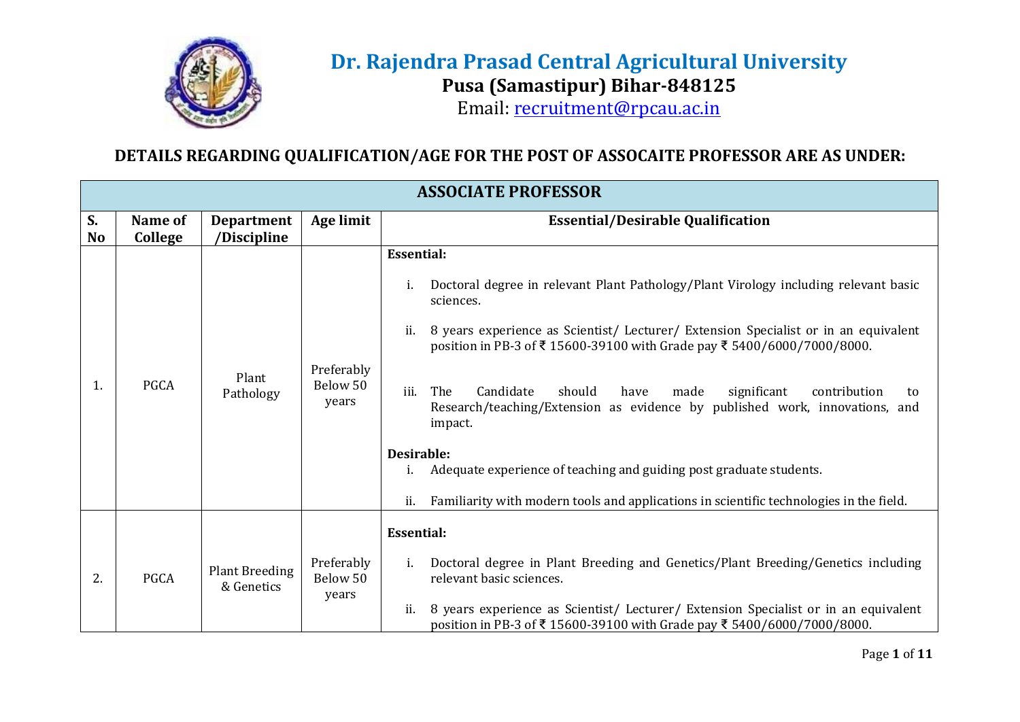

## **Dr. Rajendra Prasad Central Agricultural University Pusa (Samastipur) Bihar-848125** Email: [recruitment@rpcau.ac.in](mailto:recruitment@rpcau.ac.in)

## **DETAILS REGARDING QUALIFICATION/AGE FOR THE POST OF ASSOCAITE PROFESSOR ARE AS UNDER:**

|                 | <b>ASSOCIATE PROFESSOR</b> |                                     |                                 |                                                                                                                                                                                                                                                                                                                                                                                                                                                                                                                                                                                                                                                                                |  |
|-----------------|----------------------------|-------------------------------------|---------------------------------|--------------------------------------------------------------------------------------------------------------------------------------------------------------------------------------------------------------------------------------------------------------------------------------------------------------------------------------------------------------------------------------------------------------------------------------------------------------------------------------------------------------------------------------------------------------------------------------------------------------------------------------------------------------------------------|--|
| S.<br><b>No</b> | Name of<br><b>College</b>  | <b>Department</b><br>/Discipline    | Age limit                       | <b>Essential/Desirable Qualification</b>                                                                                                                                                                                                                                                                                                                                                                                                                                                                                                                                                                                                                                       |  |
| 1.              | <b>PGCA</b>                | Plant<br>Pathology                  | Preferably<br>Below 50<br>years | <b>Essential:</b><br>Doctoral degree in relevant Plant Pathology/Plant Virology including relevant basic<br>i.<br>sciences.<br>8 years experience as Scientist/Lecturer/Extension Specialist or in an equivalent<br>ii.<br>position in PB-3 of ₹ 15600-39100 with Grade pay ₹ 5400/6000/7000/8000.<br>The<br>iii.<br>Candidate<br>should<br>have<br>significant<br>made<br>contribution<br>to<br>Research/teaching/Extension as evidence by published work, innovations, and<br>impact.<br>Desirable:<br>Adequate experience of teaching and guiding post graduate students.<br>ii.<br>Familiarity with modern tools and applications in scientific technologies in the field. |  |
| 2.              | <b>PGCA</b>                | <b>Plant Breeding</b><br>& Genetics | Preferably<br>Below 50<br>years | <b>Essential:</b><br>Doctoral degree in Plant Breeding and Genetics/Plant Breeding/Genetics including<br>i.<br>relevant basic sciences.<br>8 years experience as Scientist/ Lecturer/ Extension Specialist or in an equivalent<br>ii.<br>position in PB-3 of ₹ 15600-39100 with Grade pay ₹ 5400/6000/7000/8000.                                                                                                                                                                                                                                                                                                                                                               |  |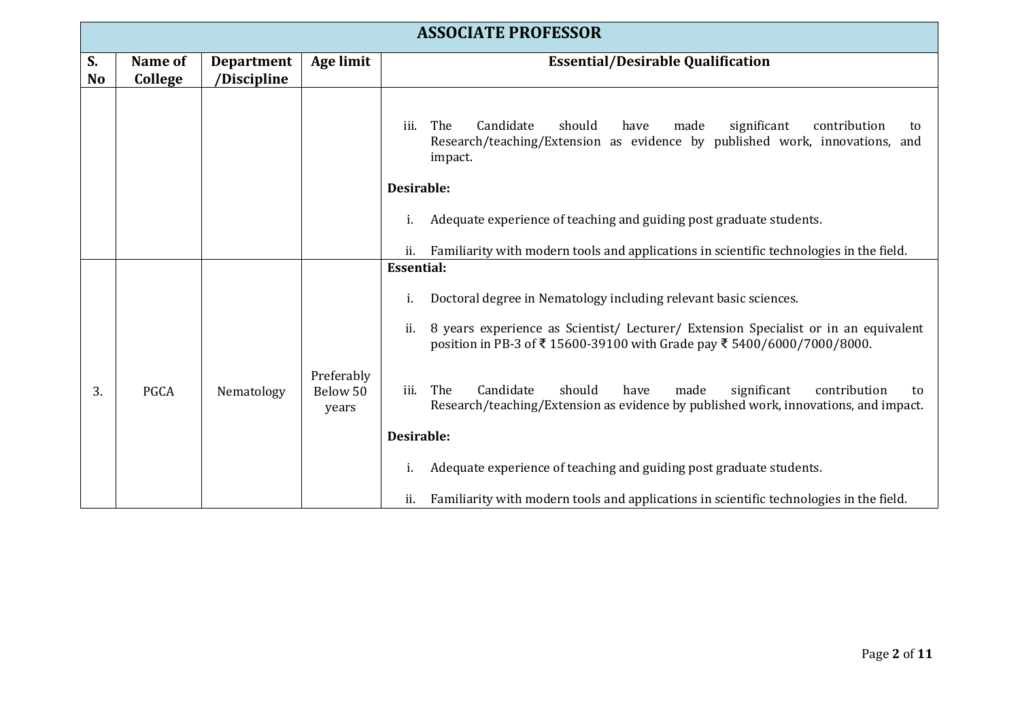|                 | <b>ASSOCIATE PROFESSOR</b> |                                  |                                 |                                                                                                                                                                                   |  |
|-----------------|----------------------------|----------------------------------|---------------------------------|-----------------------------------------------------------------------------------------------------------------------------------------------------------------------------------|--|
| S.<br><b>No</b> | Name of<br>College         | <b>Department</b><br>/Discipline | Age limit                       | <b>Essential/Desirable Qualification</b>                                                                                                                                          |  |
|                 |                            |                                  |                                 | The<br>Candidate<br>should<br>have<br>made<br>significant<br>iii.<br>contribution<br>to<br>Research/teaching/Extension as evidence by published work, innovations, and<br>impact. |  |
|                 |                            |                                  |                                 | <b>Desirable:</b>                                                                                                                                                                 |  |
|                 |                            |                                  |                                 | Adequate experience of teaching and guiding post graduate students.<br>i.                                                                                                         |  |
|                 |                            |                                  |                                 | Familiarity with modern tools and applications in scientific technologies in the field.<br>ii.                                                                                    |  |
|                 |                            |                                  |                                 | <b>Essential:</b>                                                                                                                                                                 |  |
|                 |                            |                                  |                                 | Doctoral degree in Nematology including relevant basic sciences.<br>i.                                                                                                            |  |
|                 |                            |                                  |                                 | 8 years experience as Scientist/ Lecturer/ Extension Specialist or in an equivalent<br>ii.<br>position in PB-3 of ₹15600-39100 with Grade pay ₹5400/6000/7000/8000.               |  |
| 3.              | <b>PGCA</b>                | Nematology                       | Preferably<br>Below 50<br>years | The<br>Candidate<br>should<br>made<br>significant<br>iii.<br>have<br>contribution<br>to<br>Research/teaching/Extension as evidence by published work, innovations, and impact.    |  |
|                 |                            |                                  |                                 | Desirable:                                                                                                                                                                        |  |
|                 |                            |                                  |                                 | Adequate experience of teaching and guiding post graduate students.<br>i.                                                                                                         |  |
|                 |                            |                                  |                                 | Familiarity with modern tools and applications in scientific technologies in the field.<br>ii.                                                                                    |  |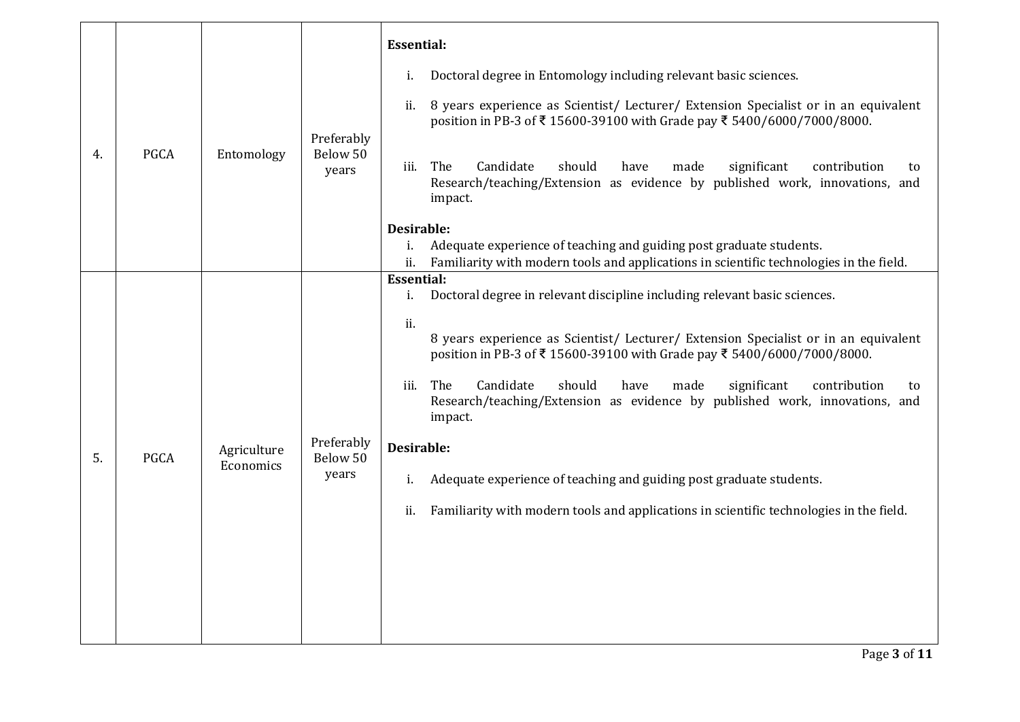| 4. | <b>PGCA</b> | Entomology               | Preferably<br>Below 50<br>years | <b>Essential:</b><br>Doctoral degree in Entomology including relevant basic sciences.<br>i.<br>8 years experience as Scientist/ Lecturer/ Extension Specialist or in an equivalent<br>ii.<br>position in PB-3 of ₹15600-39100 with Grade pay ₹5400/6000/7000/8000.<br>The<br>Candidate<br>should<br>significant<br>have<br>made<br>contribution<br>iii.<br>to<br>Research/teaching/Extension as evidence by published work, innovations, and<br>impact.<br>Desirable:<br>Adequate experience of teaching and guiding post graduate students.<br>i.<br>Familiarity with modern tools and applications in scientific technologies in the field.<br>ii.          |
|----|-------------|--------------------------|---------------------------------|---------------------------------------------------------------------------------------------------------------------------------------------------------------------------------------------------------------------------------------------------------------------------------------------------------------------------------------------------------------------------------------------------------------------------------------------------------------------------------------------------------------------------------------------------------------------------------------------------------------------------------------------------------------|
| 5. | <b>PGCA</b> | Agriculture<br>Economics | Preferably<br>Below 50<br>years | <b>Essential:</b><br>Doctoral degree in relevant discipline including relevant basic sciences.<br>i.<br>ii.<br>8 years experience as Scientist/ Lecturer/ Extension Specialist or in an equivalent<br>position in PB-3 of ₹15600-39100 with Grade pay ₹5400/6000/7000/8000.<br>The<br>Candidate<br>should<br>have<br>made<br>significant<br>contribution<br>iii.<br>to<br>Research/teaching/Extension as evidence by published work, innovations, and<br>impact.<br>Desirable:<br>Adequate experience of teaching and guiding post graduate students.<br>i.<br>Familiarity with modern tools and applications in scientific technologies in the field.<br>ii. |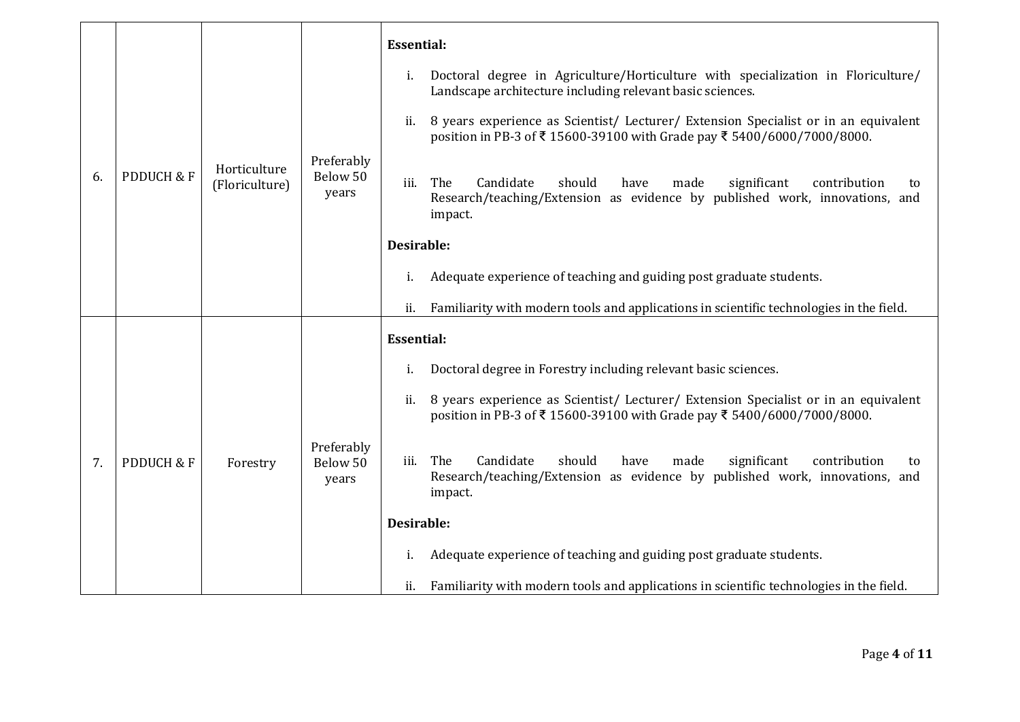|    |            | Horticulture   | Preferably                      | <b>Essential:</b><br>Doctoral degree in Agriculture/Horticulture with specialization in Floriculture/<br>i.<br>Landscape architecture including relevant basic sciences.<br>8 years experience as Scientist/ Lecturer/ Extension Specialist or in an equivalent<br>ii.<br>position in PB-3 of ₹ 15600-39100 with Grade pay ₹ 5400/6000/7000/8000. |
|----|------------|----------------|---------------------------------|---------------------------------------------------------------------------------------------------------------------------------------------------------------------------------------------------------------------------------------------------------------------------------------------------------------------------------------------------|
| 6. | PDDUCH & F | (Floriculture) | Below 50<br>years               | iii.<br>The<br>Candidate<br>should<br>made<br>significant<br>contribution<br>have<br>to<br>Research/teaching/Extension as evidence by published work, innovations, and<br>impact.<br>Desirable:                                                                                                                                                   |
|    |            |                |                                 | Adequate experience of teaching and guiding post graduate students.<br>i.                                                                                                                                                                                                                                                                         |
|    |            |                |                                 | ii.<br>Familiarity with modern tools and applications in scientific technologies in the field.                                                                                                                                                                                                                                                    |
|    |            |                |                                 | <b>Essential:</b>                                                                                                                                                                                                                                                                                                                                 |
|    |            |                |                                 | Doctoral degree in Forestry including relevant basic sciences.<br>i.                                                                                                                                                                                                                                                                              |
|    |            |                |                                 | 8 years experience as Scientist/ Lecturer/ Extension Specialist or in an equivalent<br>ii.<br>position in PB-3 of ₹15600-39100 with Grade pay ₹5400/6000/7000/8000.                                                                                                                                                                               |
| 7. | PDDUCH & F | Forestry       | Preferably<br>Below 50<br>years | The<br>Candidate<br>should<br>significant<br>have<br>made<br>contribution<br>iii.<br>to<br>Research/teaching/Extension as evidence by published work, innovations, and<br>impact.                                                                                                                                                                 |
|    |            |                |                                 | Desirable:                                                                                                                                                                                                                                                                                                                                        |
|    |            |                |                                 | Adequate experience of teaching and guiding post graduate students.<br>i.                                                                                                                                                                                                                                                                         |
|    |            |                |                                 | Familiarity with modern tools and applications in scientific technologies in the field.<br>ii.                                                                                                                                                                                                                                                    |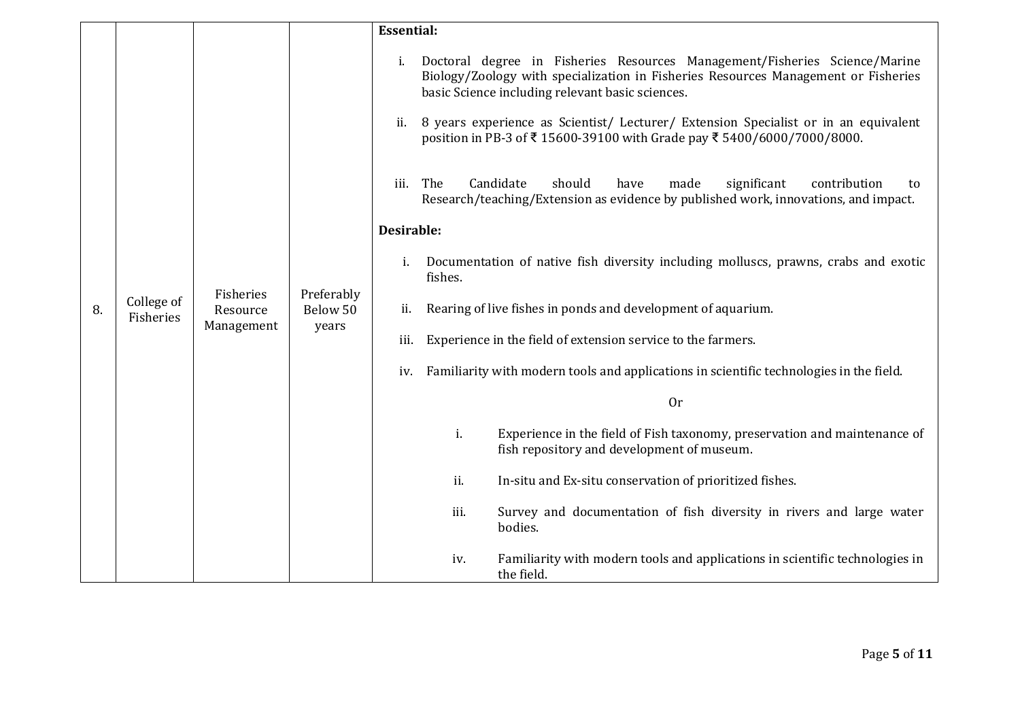|    |                         |                                     |                                 | <b>Essential:</b>                                                                                                                                                                                                                                                                                                                                                                                   |
|----|-------------------------|-------------------------------------|---------------------------------|-----------------------------------------------------------------------------------------------------------------------------------------------------------------------------------------------------------------------------------------------------------------------------------------------------------------------------------------------------------------------------------------------------|
|    |                         |                                     |                                 | Doctoral degree in Fisheries Resources Management/Fisheries Science/Marine<br>i.<br>Biology/Zoology with specialization in Fisheries Resources Management or Fisheries<br>basic Science including relevant basic sciences.<br>8 years experience as Scientist/ Lecturer/ Extension Specialist or in an equivalent<br>ii.<br>position in PB-3 of ₹ 15600-39100 with Grade pay ₹ 5400/6000/7000/8000. |
|    |                         |                                     |                                 | The<br>Candidate<br>should<br>significant<br>iii.<br>have<br>made<br>contribution<br>to<br>Research/teaching/Extension as evidence by published work, innovations, and impact.                                                                                                                                                                                                                      |
|    |                         |                                     |                                 | Desirable:                                                                                                                                                                                                                                                                                                                                                                                          |
|    |                         | Fisheries<br>Resource<br>Management | Preferably<br>Below 50<br>years | Documentation of native fish diversity including molluscs, prawns, crabs and exotic<br>fishes.                                                                                                                                                                                                                                                                                                      |
| 8. | College of<br>Fisheries |                                     |                                 | Rearing of live fishes in ponds and development of aquarium.<br>ii.                                                                                                                                                                                                                                                                                                                                 |
|    |                         |                                     |                                 | Experience in the field of extension service to the farmers.<br>iii.                                                                                                                                                                                                                                                                                                                                |
|    |                         |                                     |                                 | Familiarity with modern tools and applications in scientific technologies in the field.<br>iv.                                                                                                                                                                                                                                                                                                      |
|    |                         |                                     |                                 | 0r                                                                                                                                                                                                                                                                                                                                                                                                  |
|    |                         |                                     |                                 | i.<br>Experience in the field of Fish taxonomy, preservation and maintenance of<br>fish repository and development of museum.                                                                                                                                                                                                                                                                       |
|    |                         |                                     |                                 | ii.<br>In-situ and Ex-situ conservation of prioritized fishes.                                                                                                                                                                                                                                                                                                                                      |
|    |                         |                                     |                                 | Survey and documentation of fish diversity in rivers and large water<br>iii.<br>bodies.                                                                                                                                                                                                                                                                                                             |
|    |                         |                                     |                                 | Familiarity with modern tools and applications in scientific technologies in<br>iv.<br>the field.                                                                                                                                                                                                                                                                                                   |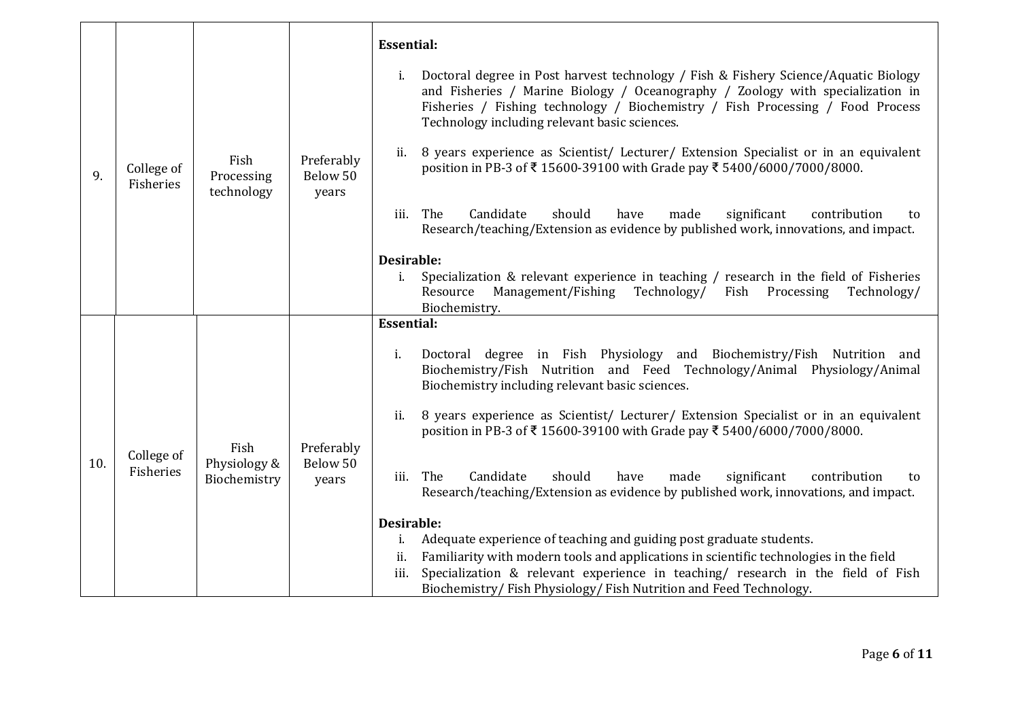| 9.  | College of<br>Fisheries | Fish<br>Processing<br>technology     | Preferably<br>Below 50<br>years | <b>Essential:</b><br>Doctoral degree in Post harvest technology / Fish & Fishery Science/Aquatic Biology<br>i.<br>and Fisheries / Marine Biology / Oceanography / Zoology with specialization in<br>Fisheries / Fishing technology / Biochemistry / Fish Processing / Food Process<br>Technology including relevant basic sciences.<br>8 years experience as Scientist/ Lecturer/ Extension Specialist or in an equivalent<br>ii.<br>position in PB-3 of ₹15600-39100 with Grade pay ₹5400/6000/7000/8000. |
|-----|-------------------------|--------------------------------------|---------------------------------|------------------------------------------------------------------------------------------------------------------------------------------------------------------------------------------------------------------------------------------------------------------------------------------------------------------------------------------------------------------------------------------------------------------------------------------------------------------------------------------------------------|
|     |                         |                                      |                                 | The<br>Candidate<br>should<br>made<br>significant<br>contribution<br>have<br>iii.<br>to<br>Research/teaching/Extension as evidence by published work, innovations, and impact.                                                                                                                                                                                                                                                                                                                             |
|     |                         |                                      |                                 | Desirable:<br>Specialization & relevant experience in teaching / research in the field of Fisheries<br>i.<br>Management/Fishing Technology/ Fish Processing<br>Resource<br>Technology/<br>Biochemistry.                                                                                                                                                                                                                                                                                                    |
|     |                         |                                      |                                 | <b>Essential:</b>                                                                                                                                                                                                                                                                                                                                                                                                                                                                                          |
|     | College of<br>Fisheries | Fish<br>Physiology &<br>Biochemistry | Preferably<br>Below 50<br>years | Doctoral degree in Fish Physiology and Biochemistry/Fish Nutrition and<br>i.<br>Biochemistry/Fish Nutrition and Feed Technology/Animal Physiology/Animal<br>Biochemistry including relevant basic sciences.                                                                                                                                                                                                                                                                                                |
|     |                         |                                      |                                 | 8 years experience as Scientist/ Lecturer/ Extension Specialist or in an equivalent<br>ii.<br>position in PB-3 of ₹15600-39100 with Grade pay ₹5400/6000/7000/8000.                                                                                                                                                                                                                                                                                                                                        |
| 10. |                         |                                      |                                 | iii. The<br>Candidate<br>should<br>made<br>significant<br>have<br>contribution<br>to<br>Research/teaching/Extension as evidence by published work, innovations, and impact.                                                                                                                                                                                                                                                                                                                                |
|     |                         |                                      |                                 | Desirable:                                                                                                                                                                                                                                                                                                                                                                                                                                                                                                 |
|     |                         |                                      |                                 | Adequate experience of teaching and guiding post graduate students.<br>i.                                                                                                                                                                                                                                                                                                                                                                                                                                  |
|     |                         |                                      |                                 | Familiarity with modern tools and applications in scientific technologies in the field<br>ii.<br>Specialization & relevant experience in teaching/ research in the field of Fish<br>iii.                                                                                                                                                                                                                                                                                                                   |
|     |                         |                                      |                                 | Biochemistry/Fish Physiology/Fish Nutrition and Feed Technology.                                                                                                                                                                                                                                                                                                                                                                                                                                           |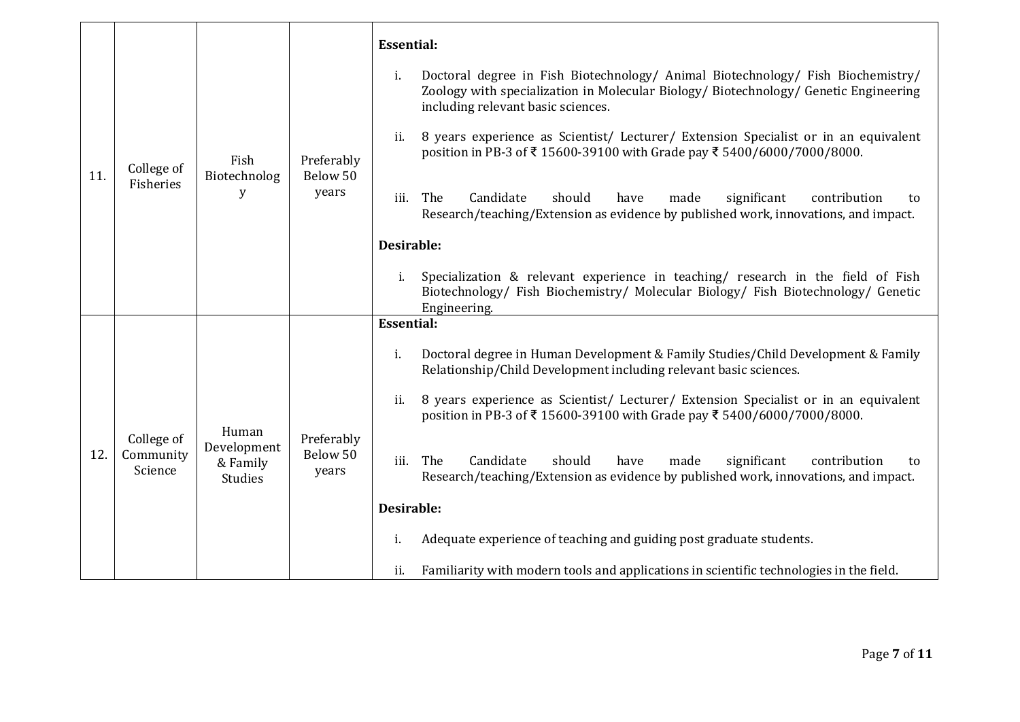| 11. | College of<br>Fisheries            | Fish<br>Biotechnolog<br>y                          | Preferably<br>Below 50<br>years | <b>Essential:</b><br>Doctoral degree in Fish Biotechnology/ Animal Biotechnology/ Fish Biochemistry/<br>i.<br>Zoology with specialization in Molecular Biology/ Biotechnology/ Genetic Engineering<br>including relevant basic sciences.<br>8 years experience as Scientist/ Lecturer/ Extension Specialist or in an equivalent<br>ii.<br>position in PB-3 of ₹15600-39100 with Grade pay ₹5400/6000/7000/8000.<br>The<br>Candidate<br>should<br>made<br>significant<br>iii.<br>have<br>contribution<br>to<br>Research/teaching/Extension as evidence by published work, innovations, and impact.<br>Desirable:<br>Specialization & relevant experience in teaching/ research in the field of Fish<br>i.<br>Biotechnology/ Fish Biochemistry/ Molecular Biology/ Fish Biotechnology/ Genetic<br>Engineering. |
|-----|------------------------------------|----------------------------------------------------|---------------------------------|--------------------------------------------------------------------------------------------------------------------------------------------------------------------------------------------------------------------------------------------------------------------------------------------------------------------------------------------------------------------------------------------------------------------------------------------------------------------------------------------------------------------------------------------------------------------------------------------------------------------------------------------------------------------------------------------------------------------------------------------------------------------------------------------------------------|
| 12. | College of<br>Community<br>Science | Human<br>Development<br>& Family<br><b>Studies</b> | Preferably<br>Below 50<br>years | <b>Essential:</b><br>Doctoral degree in Human Development & Family Studies/Child Development & Family<br>i.<br>Relationship/Child Development including relevant basic sciences.<br>8 years experience as Scientist/ Lecturer/ Extension Specialist or in an equivalent<br>ii.<br>position in PB-3 of ₹15600-39100 with Grade pay ₹5400/6000/7000/8000.<br>The<br>Candidate<br>should<br>made<br>significant<br>iii.<br>have<br>contribution<br>to<br>Research/teaching/Extension as evidence by published work, innovations, and impact.<br>Desirable:<br>Adequate experience of teaching and guiding post graduate students.<br>i.<br>Familiarity with modern tools and applications in scientific technologies in the field.<br>ii.                                                                       |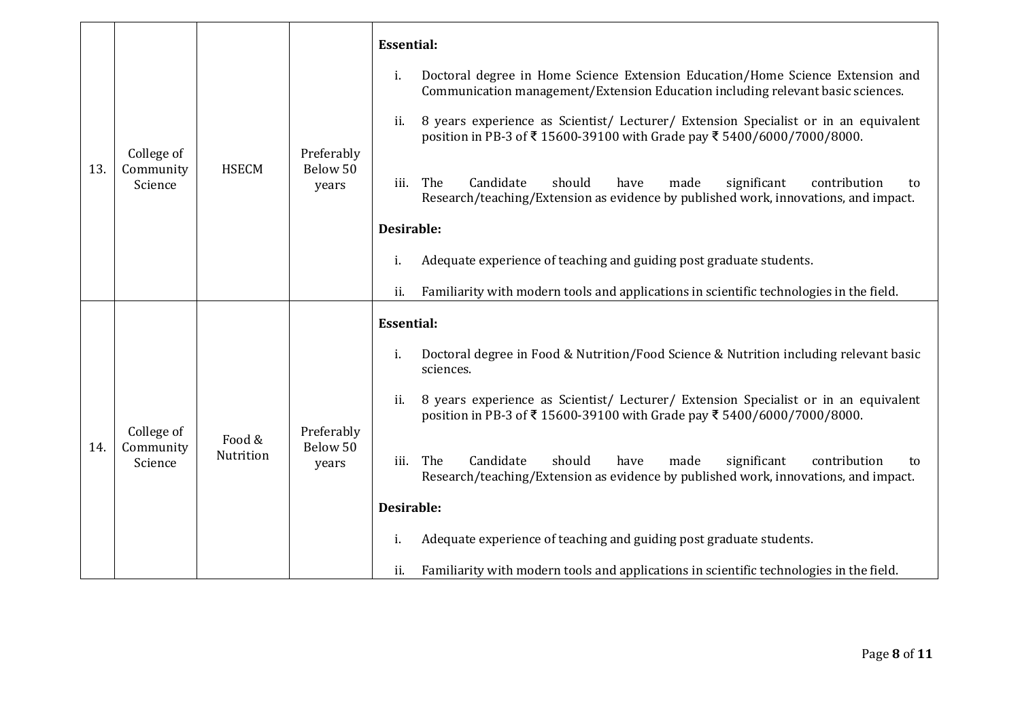| 13. | College of<br>Community<br>Science | <b>HSECM</b>        | Preferably<br>Below 50<br>years | <b>Essential:</b><br>Doctoral degree in Home Science Extension Education/Home Science Extension and<br>i.<br>Communication management/Extension Education including relevant basic sciences.<br>8 years experience as Scientist/ Lecturer/ Extension Specialist or in an equivalent<br>ii.<br>position in PB-3 of ₹15600-39100 with Grade pay ₹5400/6000/7000/8000.<br>The<br>Candidate<br>iii.<br>should<br>have<br>made<br>significant<br>contribution<br>to<br>Research/teaching/Extension as evidence by published work, innovations, and impact.<br>Desirable: |
|-----|------------------------------------|---------------------|---------------------------------|---------------------------------------------------------------------------------------------------------------------------------------------------------------------------------------------------------------------------------------------------------------------------------------------------------------------------------------------------------------------------------------------------------------------------------------------------------------------------------------------------------------------------------------------------------------------|
|     |                                    |                     |                                 | Adequate experience of teaching and guiding post graduate students.<br>i.<br>Familiarity with modern tools and applications in scientific technologies in the field.<br>ii.                                                                                                                                                                                                                                                                                                                                                                                         |
|     |                                    |                     |                                 | <b>Essential:</b>                                                                                                                                                                                                                                                                                                                                                                                                                                                                                                                                                   |
| 14. | College of<br>Community<br>Science | Food &<br>Nutrition | Preferably<br>Below 50<br>years | Doctoral degree in Food & Nutrition/Food Science & Nutrition including relevant basic<br>i.<br>sciences.                                                                                                                                                                                                                                                                                                                                                                                                                                                            |
|     |                                    |                     |                                 | 8 years experience as Scientist/ Lecturer/ Extension Specialist or in an equivalent<br>ii.<br>position in PB-3 of ₹15600-39100 with Grade pay ₹5400/6000/7000/8000.                                                                                                                                                                                                                                                                                                                                                                                                 |
|     |                                    |                     |                                 | The<br>Candidate<br>made<br>significant<br>should<br>have<br>contribution<br>iii.<br>to<br>Research/teaching/Extension as evidence by published work, innovations, and impact.                                                                                                                                                                                                                                                                                                                                                                                      |
|     |                                    |                     |                                 | Desirable:                                                                                                                                                                                                                                                                                                                                                                                                                                                                                                                                                          |
|     |                                    |                     |                                 | Adequate experience of teaching and guiding post graduate students.<br>i.                                                                                                                                                                                                                                                                                                                                                                                                                                                                                           |
|     |                                    |                     |                                 | Familiarity with modern tools and applications in scientific technologies in the field.<br>ii.                                                                                                                                                                                                                                                                                                                                                                                                                                                                      |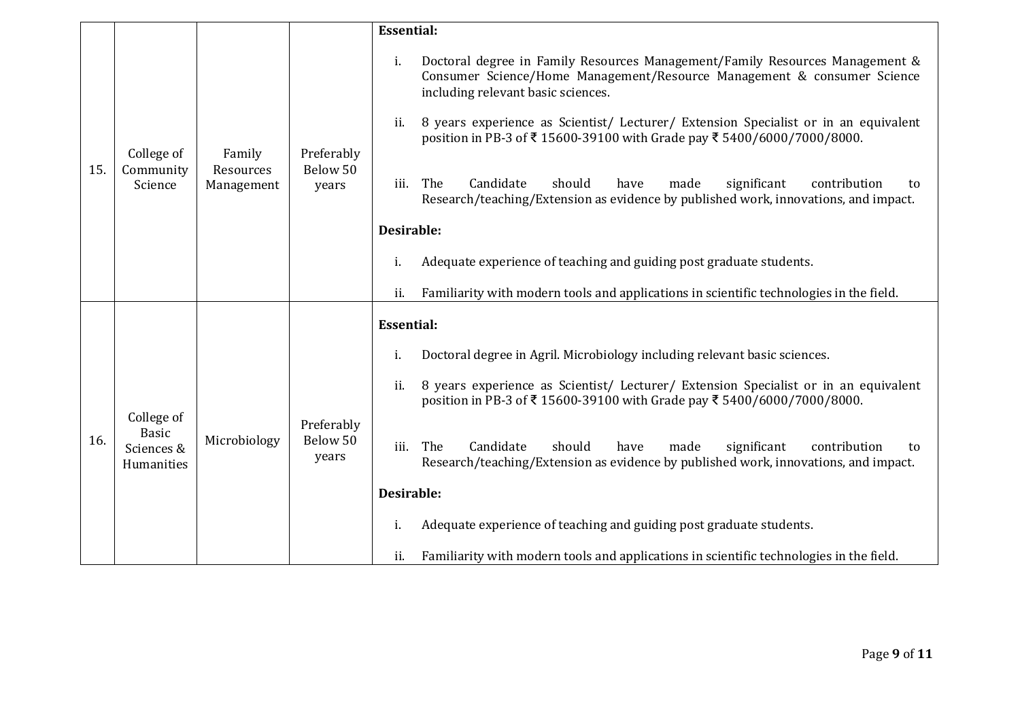|     |                                                        |                                   |                                 | <b>Essential:</b>                                                                                                                                                                                                                                                                                                                                                          |
|-----|--------------------------------------------------------|-----------------------------------|---------------------------------|----------------------------------------------------------------------------------------------------------------------------------------------------------------------------------------------------------------------------------------------------------------------------------------------------------------------------------------------------------------------------|
|     | College of<br>Community<br>Science                     | Family<br>Resources<br>Management | Preferably<br>Below 50<br>years | Doctoral degree in Family Resources Management/Family Resources Management &<br>i.<br>Consumer Science/Home Management/Resource Management & consumer Science<br>including relevant basic sciences.<br>8 years experience as Scientist/ Lecturer/ Extension Specialist or in an equivalent<br>ii.<br>position in PB-3 of ₹15600-39100 with Grade pay ₹5400/6000/7000/8000. |
| 15. |                                                        |                                   |                                 | The<br>Candidate<br>should<br>iii.<br>have<br>made<br>significant<br>contribution<br>to<br>Research/teaching/Extension as evidence by published work, innovations, and impact.                                                                                                                                                                                             |
|     |                                                        |                                   |                                 | Desirable:                                                                                                                                                                                                                                                                                                                                                                 |
|     |                                                        |                                   |                                 | Adequate experience of teaching and guiding post graduate students.<br>i.                                                                                                                                                                                                                                                                                                  |
|     |                                                        |                                   |                                 | Familiarity with modern tools and applications in scientific technologies in the field.<br>ii.                                                                                                                                                                                                                                                                             |
|     |                                                        |                                   |                                 | <b>Essential:</b>                                                                                                                                                                                                                                                                                                                                                          |
|     |                                                        |                                   |                                 | Doctoral degree in Agril. Microbiology including relevant basic sciences.<br>i.                                                                                                                                                                                                                                                                                            |
| 16. | College of<br><b>Basic</b><br>Sciences &<br>Humanities | Microbiology                      | Preferably<br>Below 50<br>years | 8 years experience as Scientist/ Lecturer/ Extension Specialist or in an equivalent<br>ii.<br>position in PB-3 of ₹ 15600-39100 with Grade pay ₹ 5400/6000/7000/8000.                                                                                                                                                                                                      |
|     |                                                        |                                   |                                 | Candidate<br>The<br>should<br>have<br>made<br>significant<br>iii.<br>contribution<br>to<br>Research/teaching/Extension as evidence by published work, innovations, and impact.                                                                                                                                                                                             |
|     |                                                        |                                   |                                 | Desirable:                                                                                                                                                                                                                                                                                                                                                                 |
|     |                                                        |                                   |                                 | Adequate experience of teaching and guiding post graduate students.<br>ĺ.                                                                                                                                                                                                                                                                                                  |
|     |                                                        |                                   |                                 | Familiarity with modern tools and applications in scientific technologies in the field.<br>ii.                                                                                                                                                                                                                                                                             |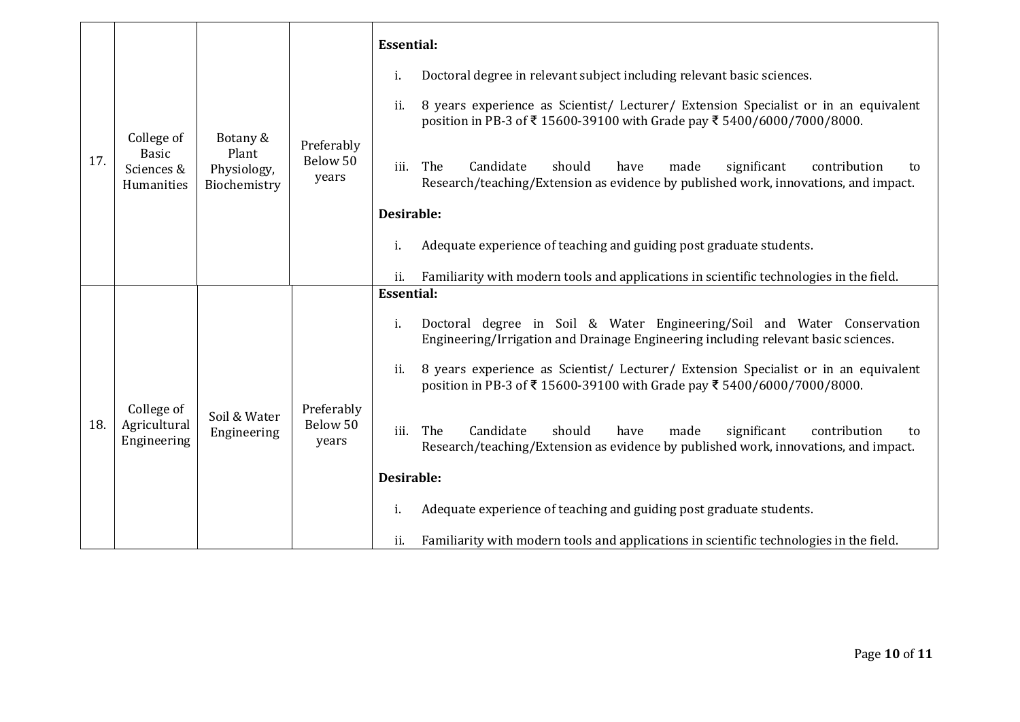|     |                                                        |                                                  |                                 | <b>Essential:</b>                                                                                                                                                              |
|-----|--------------------------------------------------------|--------------------------------------------------|---------------------------------|--------------------------------------------------------------------------------------------------------------------------------------------------------------------------------|
|     |                                                        |                                                  |                                 | Doctoral degree in relevant subject including relevant basic sciences.<br>i.                                                                                                   |
|     | College of<br><b>Basic</b><br>Sciences &<br>Humanities | Botany &<br>Plant<br>Physiology,<br>Biochemistry | Preferably<br>Below 50<br>years | 8 years experience as Scientist/ Lecturer/ Extension Specialist or in an equivalent<br>ii.<br>position in PB-3 of ₹15600-39100 with Grade pay ₹5400/6000/7000/8000.            |
| 17. |                                                        |                                                  |                                 | iii.<br>The<br>Candidate<br>should<br>have<br>made<br>significant<br>contribution<br>to<br>Research/teaching/Extension as evidence by published work, innovations, and impact. |
|     |                                                        |                                                  |                                 | Desirable:                                                                                                                                                                     |
|     |                                                        |                                                  |                                 | Adequate experience of teaching and guiding post graduate students.<br>i.                                                                                                      |
|     |                                                        |                                                  |                                 | Familiarity with modern tools and applications in scientific technologies in the field.<br>ii.                                                                                 |
|     |                                                        |                                                  |                                 | <b>Essential:</b>                                                                                                                                                              |
|     |                                                        |                                                  |                                 | Doctoral degree in Soil & Water Engineering/Soil and Water Conservation<br>i.<br>Engineering/Irrigation and Drainage Engineering including relevant basic sciences.            |
|     |                                                        |                                                  |                                 | 8 years experience as Scientist/ Lecturer/ Extension Specialist or in an equivalent<br>ii.<br>position in PB-3 of ₹15600-39100 with Grade pay ₹5400/6000/7000/8000.            |
| 18. | College of<br>Agricultural<br>Engineering              | Soil & Water<br>Engineering                      | Preferably<br>Below 50<br>years | Candidate<br>should<br>iii.<br>The<br>have<br>made<br>significant<br>contribution<br>to<br>Research/teaching/Extension as evidence by published work, innovations, and impact. |
|     |                                                        |                                                  |                                 | Desirable:                                                                                                                                                                     |
|     |                                                        |                                                  |                                 | Adequate experience of teaching and guiding post graduate students.<br>i.                                                                                                      |
|     |                                                        |                                                  |                                 | Familiarity with modern tools and applications in scientific technologies in the field.<br>ii.                                                                                 |